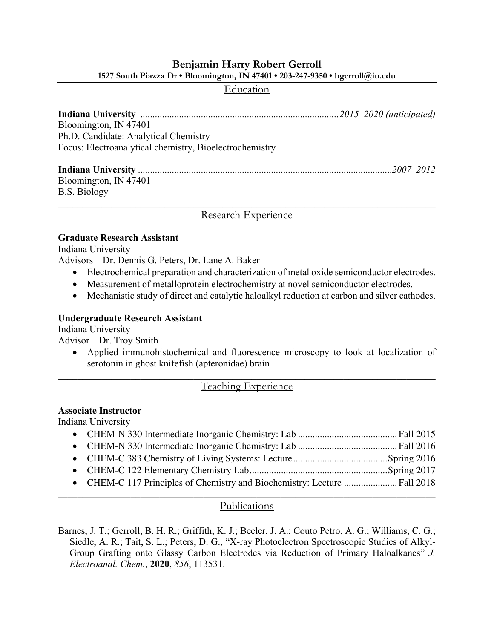# **Benjamin Harry Robert Gerroll 1527 South Piazza Dr • Bloomington, IN 47401 • 203-247-9350 • bgerroll@iu.edu**

### Education

| Bloomington, IN 47401                                   |  |
|---------------------------------------------------------|--|
| Ph.D. Candidate: Analytical Chemistry                   |  |
| Focus: Electroanalytical chemistry, Bioelectrochemistry |  |
|                                                         |  |
|                                                         |  |
| Bloomington, IN 47401                                   |  |
| <b>B.S. Biology</b>                                     |  |
|                                                         |  |

Research Experience

### **Graduate Research Assistant**

Indiana University

Advisors – Dr. Dennis G. Peters, Dr. Lane A. Baker

- Electrochemical preparation and characterization of metal oxide semiconductor electrodes.
- Measurement of metalloprotein electrochemistry at novel semiconductor electrodes.
- Mechanistic study of direct and catalytic haloalkyl reduction at carbon and silver cathodes.

### **Undergraduate Research Assistant**

Indiana University

Advisor – Dr. Troy Smith

• Applied immunohistochemical and fluorescence microscopy to look at localization of serotonin in ghost knifefish (apteronidae) brain

# Teaching Experience

### **Associate Instructor**

Indiana University

| • CHEM-C 117 Principles of Chemistry and Biochemistry: Lecture  Fall 2018 |  |
|---------------------------------------------------------------------------|--|

## \_\_\_\_\_\_\_\_\_\_\_\_\_\_\_\_\_\_\_\_\_\_\_\_\_\_\_\_\_\_\_\_\_\_\_\_\_\_\_\_\_\_\_\_\_\_\_\_\_\_\_\_\_\_\_\_\_\_\_\_\_\_\_\_\_\_\_\_\_\_\_\_\_\_\_\_\_\_ Publications

Barnes, J. T.; Gerroll, B. H. R.; Griffith, K. J.; Beeler, J. A.; Couto Petro, A. G.; Williams, C. G.; Siedle, A. R.; Tait, S. L.; Peters, D. G., "X-ray Photoelectron Spectroscopic Studies of Alkyl-Group Grafting onto Glassy Carbon Electrodes via Reduction of Primary Haloalkanes" *J. Electroanal. Chem.*, **2020**, *856*, 113531.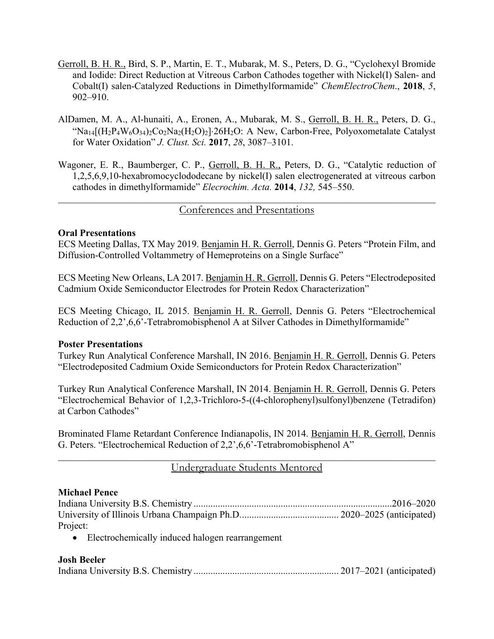- Gerroll, B. H. R., Bird, S. P., Martin, E. T., Mubarak, M. S., Peters, D. G., "Cyclohexyl Bromide and Iodide: Direct Reduction at Vitreous Carbon Cathodes together with Nickel(I) Salen- and Cobalt(I) salen-Catalyzed Reductions in Dimethylformamide" *ChemElectroChem*., **2018**, *5*, 902–910.
- AlDamen, M. A., Al-hunaiti, A., Eronen, A., Mubarak, M. S., Gerroll, B. H. R., Peters, D. G., "Na<sub>14</sub>[ $(H_2P_4W_6O_{34})_2Co_2Na_2(H_2O)_2$ ]·26H<sub>2</sub>O: A New, Carbon-Free, Polyoxometalate Catalyst for Water Oxidation" *J. Clust. Sci.* **2017**, *28*, 3087–3101.
- Wagoner, E. R., Baumberger, C. P., Gerroll, B. H. R., Peters, D. G., "Catalytic reduction of 1,2,5,6,9,10-hexabromocyclododecane by nickel(I) salen electrogenerated at vitreous carbon cathodes in dimethylformamide" *Elecrochim. Acta.* **2014**, *132,* 545–550.

## Conferences and Presentations

## **Oral Presentations**

ECS Meeting Dallas, TX May 2019. Benjamin H. R. Gerroll, Dennis G. Peters "Protein Film, and Diffusion-Controlled Voltammetry of Hemeproteins on a Single Surface"

ECS Meeting New Orleans, LA 2017. Benjamin H. R. Gerroll, Dennis G. Peters "Electrodeposited Cadmium Oxide Semiconductor Electrodes for Protein Redox Characterization"

ECS Meeting Chicago, IL 2015. Benjamin H. R. Gerroll, Dennis G. Peters "Electrochemical Reduction of 2,2',6,6'-Tetrabromobisphenol A at Silver Cathodes in Dimethylformamide"

### **Poster Presentations**

Turkey Run Analytical Conference Marshall, IN 2016. Benjamin H. R. Gerroll, Dennis G. Peters "Electrodeposited Cadmium Oxide Semiconductors for Protein Redox Characterization"

Turkey Run Analytical Conference Marshall, IN 2014. Benjamin H. R. Gerroll, Dennis G. Peters "Electrochemical Behavior of 1,2,3-Trichloro-5-((4-chlorophenyl)sulfonyl)benzene (Tetradifon) at Carbon Cathodes"

Brominated Flame Retardant Conference Indianapolis, IN 2014. Benjamin H. R. Gerroll, Dennis G. Peters. "Electrochemical Reduction of 2,2',6,6'-Tetrabromobisphenol A"

## $\mathcal{L}_\mathcal{L} = \mathcal{L}_\mathcal{L} = \mathcal{L}_\mathcal{L} = \mathcal{L}_\mathcal{L} = \mathcal{L}_\mathcal{L} = \mathcal{L}_\mathcal{L} = \mathcal{L}_\mathcal{L} = \mathcal{L}_\mathcal{L} = \mathcal{L}_\mathcal{L} = \mathcal{L}_\mathcal{L} = \mathcal{L}_\mathcal{L} = \mathcal{L}_\mathcal{L} = \mathcal{L}_\mathcal{L} = \mathcal{L}_\mathcal{L} = \mathcal{L}_\mathcal{L} = \mathcal{L}_\mathcal{L} = \mathcal{L}_\mathcal{L}$ Undergraduate Students Mentored

### **Michael Pence**

| Project: |  |
|----------|--|

• Electrochemically induced halogen rearrangement

### **Josh Beeler**

|--|--|--|